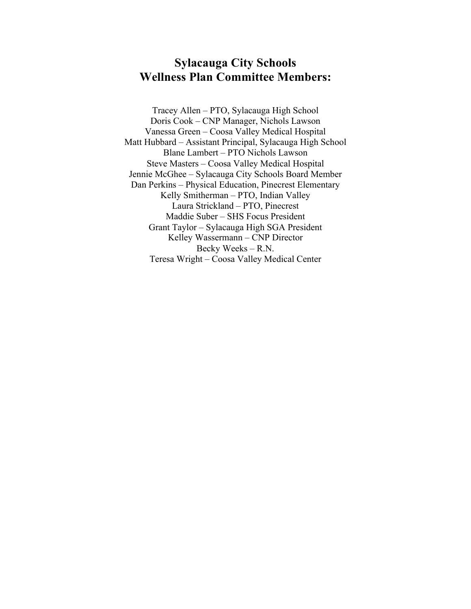## **Sylacauga City Schools Wellness Plan Committee Members:**

Tracey Allen – PTO, Sylacauga High School Doris Cook – CNP Manager, Nichols Lawson Vanessa Green – Coosa Valley Medical Hospital Matt Hubbard – Assistant Principal, Sylacauga High School Blane Lambert – PTO Nichols Lawson Steve Masters – Coosa Valley Medical Hospital Jennie McGhee – Sylacauga City Schools Board Member Dan Perkins – Physical Education, Pinecrest Elementary Kelly Smitherman – PTO, Indian Valley Laura Strickland – PTO, Pinecrest Maddie Suber – SHS Focus President Grant Taylor – Sylacauga High SGA President Kelley Wassermann – CNP Director Becky Weeks – R.N. Teresa Wright – Coosa Valley Medical Center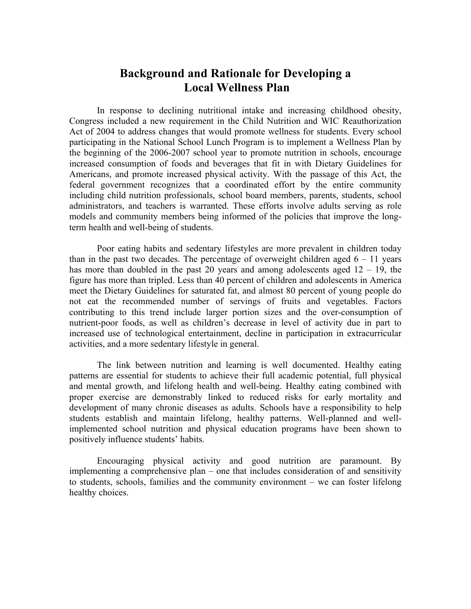## **Background and Rationale for Developing a Local Wellness Plan**

In response to declining nutritional intake and increasing childhood obesity, Congress included a new requirement in the Child Nutrition and WIC Reauthorization Act of 2004 to address changes that would promote wellness for students. Every school participating in the National School Lunch Program is to implement a Wellness Plan by the beginning of the 2006-2007 school year to promote nutrition in schools, encourage increased consumption of foods and beverages that fit in with Dietary Guidelines for Americans, and promote increased physical activity. With the passage of this Act, the federal government recognizes that a coordinated effort by the entire community including child nutrition professionals, school board members, parents, students, school administrators, and teachers is warranted. These efforts involve adults serving as role models and community members being informed of the policies that improve the longterm health and well-being of students.

Poor eating habits and sedentary lifestyles are more prevalent in children today than in the past two decades. The percentage of overweight children aged  $6 - 11$  years has more than doubled in the past 20 years and among adolescents aged  $12 - 19$ , the figure has more than tripled. Less than 40 percent of children and adolescents in America meet the Dietary Guidelines for saturated fat, and almost 80 percent of young people do not eat the recommended number of servings of fruits and vegetables. Factors contributing to this trend include larger portion sizes and the over-consumption of nutrient-poor foods, as well as children's decrease in level of activity due in part to increased use of technological entertainment, decline in participation in extracurricular activities, and a more sedentary lifestyle in general.

The link between nutrition and learning is well documented. Healthy eating patterns are essential for students to achieve their full academic potential, full physical and mental growth, and lifelong health and well-being. Healthy eating combined with proper exercise are demonstrably linked to reduced risks for early mortality and development of many chronic diseases as adults. Schools have a responsibility to help students establish and maintain lifelong, healthy patterns. Well-planned and wellimplemented school nutrition and physical education programs have been shown to positively influence students' habits.

Encouraging physical activity and good nutrition are paramount. By implementing a comprehensive plan – one that includes consideration of and sensitivity to students, schools, families and the community environment – we can foster lifelong healthy choices.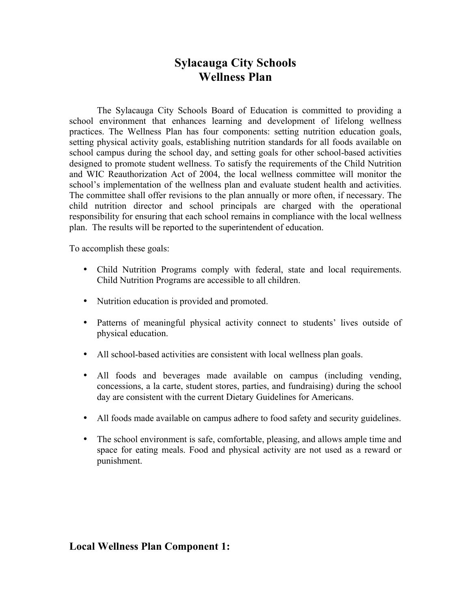## **Sylacauga City Schools Wellness Plan**

The Sylacauga City Schools Board of Education is committed to providing a school environment that enhances learning and development of lifelong wellness practices. The Wellness Plan has four components: setting nutrition education goals, setting physical activity goals, establishing nutrition standards for all foods available on school campus during the school day, and setting goals for other school-based activities designed to promote student wellness. To satisfy the requirements of the Child Nutrition and WIC Reauthorization Act of 2004, the local wellness committee will monitor the school's implementation of the wellness plan and evaluate student health and activities. The committee shall offer revisions to the plan annually or more often, if necessary. The child nutrition director and school principals are charged with the operational responsibility for ensuring that each school remains in compliance with the local wellness plan. The results will be reported to the superintendent of education.

To accomplish these goals:

- Child Nutrition Programs comply with federal, state and local requirements. Child Nutrition Programs are accessible to all children.
- Nutrition education is provided and promoted.
- Patterns of meaningful physical activity connect to students' lives outside of physical education.
- All school-based activities are consistent with local wellness plan goals.
- All foods and beverages made available on campus (including vending, concessions, a la carte, student stores, parties, and fundraising) during the school day are consistent with the current Dietary Guidelines for Americans.
- All foods made available on campus adhere to food safety and security guidelines.
- The school environment is safe, comfortable, pleasing, and allows ample time and space for eating meals. Food and physical activity are not used as a reward or punishment.

#### **Local Wellness Plan Component 1:**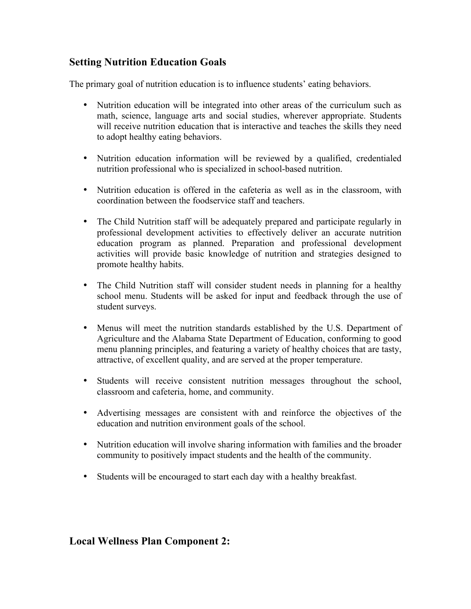#### **Setting Nutrition Education Goals**

The primary goal of nutrition education is to influence students' eating behaviors.

- Nutrition education will be integrated into other areas of the curriculum such as math, science, language arts and social studies, wherever appropriate. Students will receive nutrition education that is interactive and teaches the skills they need to adopt healthy eating behaviors.
- Nutrition education information will be reviewed by a qualified, credentialed nutrition professional who is specialized in school-based nutrition.
- Nutrition education is offered in the cafeteria as well as in the classroom, with coordination between the foodservice staff and teachers.
- The Child Nutrition staff will be adequately prepared and participate regularly in professional development activities to effectively deliver an accurate nutrition education program as planned. Preparation and professional development activities will provide basic knowledge of nutrition and strategies designed to promote healthy habits.
- The Child Nutrition staff will consider student needs in planning for a healthy school menu. Students will be asked for input and feedback through the use of student surveys.
- Menus will meet the nutrition standards established by the U.S. Department of Agriculture and the Alabama State Department of Education, conforming to good menu planning principles, and featuring a variety of healthy choices that are tasty, attractive, of excellent quality, and are served at the proper temperature.
- Students will receive consistent nutrition messages throughout the school, classroom and cafeteria, home, and community.
- Advertising messages are consistent with and reinforce the objectives of the education and nutrition environment goals of the school.
- Nutrition education will involve sharing information with families and the broader community to positively impact students and the health of the community.
- Students will be encouraged to start each day with a healthy breakfast.

#### **Local Wellness Plan Component 2:**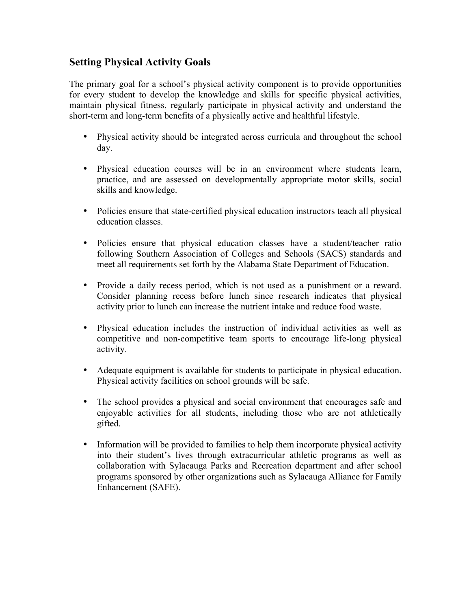#### **Setting Physical Activity Goals**

The primary goal for a school's physical activity component is to provide opportunities for every student to develop the knowledge and skills for specific physical activities, maintain physical fitness, regularly participate in physical activity and understand the short-term and long-term benefits of a physically active and healthful lifestyle.

- Physical activity should be integrated across curricula and throughout the school day.
- Physical education courses will be in an environment where students learn, practice, and are assessed on developmentally appropriate motor skills, social skills and knowledge.
- Policies ensure that state-certified physical education instructors teach all physical education classes.
- Policies ensure that physical education classes have a student/teacher ratio following Southern Association of Colleges and Schools (SACS) standards and meet all requirements set forth by the Alabama State Department of Education.
- Provide a daily recess period, which is not used as a punishment or a reward. Consider planning recess before lunch since research indicates that physical activity prior to lunch can increase the nutrient intake and reduce food waste.
- Physical education includes the instruction of individual activities as well as competitive and non-competitive team sports to encourage life-long physical activity.
- Adequate equipment is available for students to participate in physical education. Physical activity facilities on school grounds will be safe.
- The school provides a physical and social environment that encourages safe and enjoyable activities for all students, including those who are not athletically gifted.
- Information will be provided to families to help them incorporate physical activity into their student's lives through extracurricular athletic programs as well as collaboration with Sylacauga Parks and Recreation department and after school programs sponsored by other organizations such as Sylacauga Alliance for Family Enhancement (SAFE).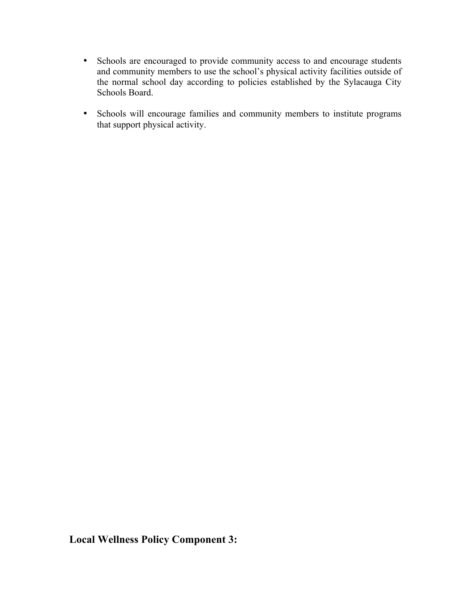- Schools are encouraged to provide community access to and encourage students and community members to use the school's physical activity facilities outside of the normal school day according to policies established by the Sylacauga City Schools Board.
- Schools will encourage families and community members to institute programs that support physical activity.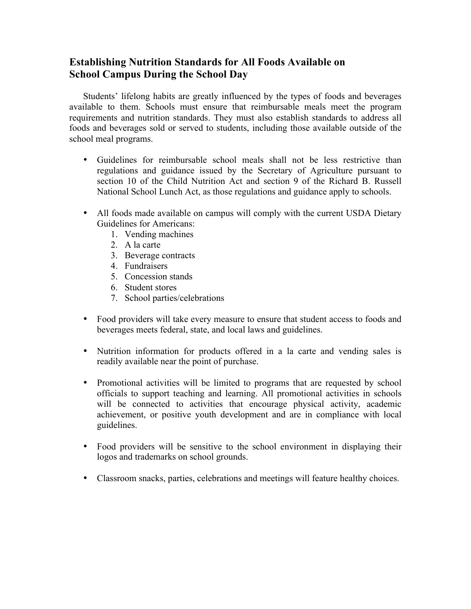#### **Establishing Nutrition Standards for All Foods Available on School Campus During the School Day**

Students' lifelong habits are greatly influenced by the types of foods and beverages available to them. Schools must ensure that reimbursable meals meet the program requirements and nutrition standards. They must also establish standards to address all foods and beverages sold or served to students, including those available outside of the school meal programs.

- Guidelines for reimbursable school meals shall not be less restrictive than regulations and guidance issued by the Secretary of Agriculture pursuant to section 10 of the Child Nutrition Act and section 9 of the Richard B. Russell National School Lunch Act, as those regulations and guidance apply to schools.
- All foods made available on campus will comply with the current USDA Dietary Guidelines for Americans:
	- 1. Vending machines
	- 2. A la carte
	- 3. Beverage contracts
	- 4. Fundraisers
	- 5. Concession stands
	- 6. Student stores
	- 7. School parties/celebrations
- Food providers will take every measure to ensure that student access to foods and beverages meets federal, state, and local laws and guidelines.
- Nutrition information for products offered in a la carte and vending sales is readily available near the point of purchase.
- Promotional activities will be limited to programs that are requested by school officials to support teaching and learning. All promotional activities in schools will be connected to activities that encourage physical activity, academic achievement, or positive youth development and are in compliance with local guidelines.
- Food providers will be sensitive to the school environment in displaying their logos and trademarks on school grounds.
- Classroom snacks, parties, celebrations and meetings will feature healthy choices.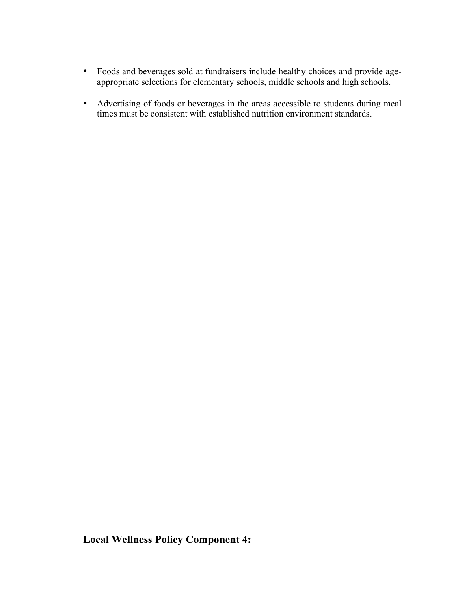- Foods and beverages sold at fundraisers include healthy choices and provide ageappropriate selections for elementary schools, middle schools and high schools.
- Advertising of foods or beverages in the areas accessible to students during meal times must be consistent with established nutrition environment standards.

**Local Wellness Policy Component 4:**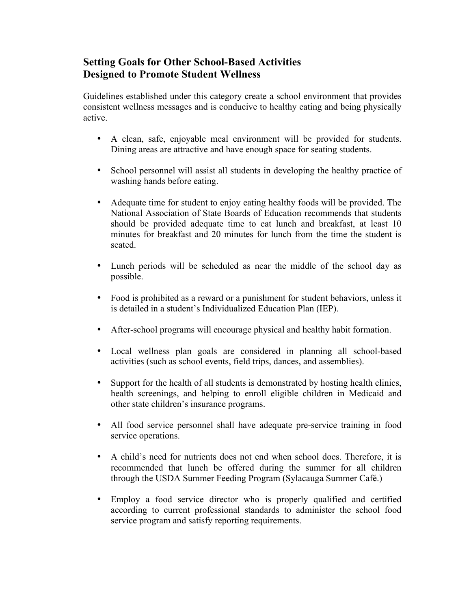#### **Setting Goals for Other School-Based Activities Designed to Promote Student Wellness**

Guidelines established under this category create a school environment that provides consistent wellness messages and is conducive to healthy eating and being physically active.

- A clean, safe, enjoyable meal environment will be provided for students. Dining areas are attractive and have enough space for seating students.
- School personnel will assist all students in developing the healthy practice of washing hands before eating.
- Adequate time for student to enjoy eating healthy foods will be provided. The National Association of State Boards of Education recommends that students should be provided adequate time to eat lunch and breakfast, at least 10 minutes for breakfast and 20 minutes for lunch from the time the student is seated.
- Lunch periods will be scheduled as near the middle of the school day as possible.
- Food is prohibited as a reward or a punishment for student behaviors, unless it is detailed in a student's Individualized Education Plan (IEP).
- After-school programs will encourage physical and healthy habit formation.
- Local wellness plan goals are considered in planning all school-based activities (such as school events, field trips, dances, and assemblies).
- Support for the health of all students is demonstrated by hosting health clinics, health screenings, and helping to enroll eligible children in Medicaid and other state children's insurance programs.
- All food service personnel shall have adequate pre-service training in food service operations.
- A child's need for nutrients does not end when school does. Therefore, it is recommended that lunch be offered during the summer for all children through the USDA Summer Feeding Program (Sylacauga Summer Café.)
- Employ a food service director who is properly qualified and certified according to current professional standards to administer the school food service program and satisfy reporting requirements.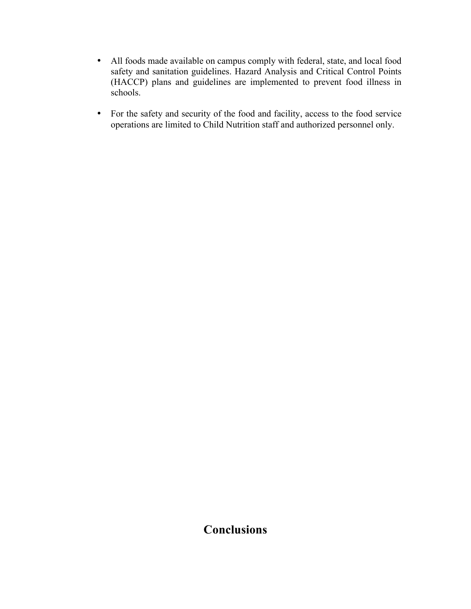- All foods made available on campus comply with federal, state, and local food safety and sanitation guidelines. Hazard Analysis and Critical Control Points (HACCP) plans and guidelines are implemented to prevent food illness in schools.
- For the safety and security of the food and facility, access to the food service operations are limited to Child Nutrition staff and authorized personnel only.

## **Conclusions**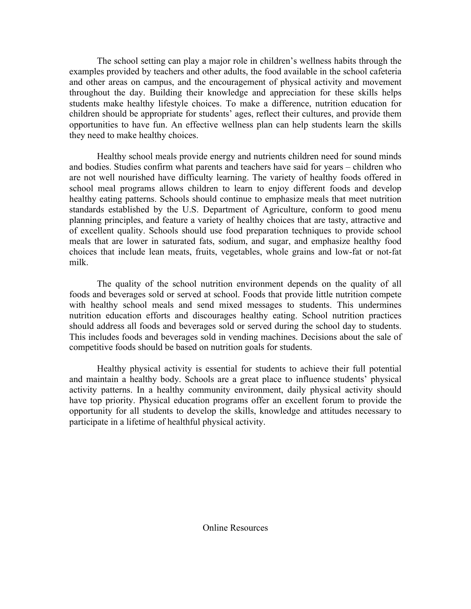The school setting can play a major role in children's wellness habits through the examples provided by teachers and other adults, the food available in the school cafeteria and other areas on campus, and the encouragement of physical activity and movement throughout the day. Building their knowledge and appreciation for these skills helps students make healthy lifestyle choices. To make a difference, nutrition education for children should be appropriate for students' ages, reflect their cultures, and provide them opportunities to have fun. An effective wellness plan can help students learn the skills they need to make healthy choices.

Healthy school meals provide energy and nutrients children need for sound minds and bodies. Studies confirm what parents and teachers have said for years – children who are not well nourished have difficulty learning. The variety of healthy foods offered in school meal programs allows children to learn to enjoy different foods and develop healthy eating patterns. Schools should continue to emphasize meals that meet nutrition standards established by the U.S. Department of Agriculture, conform to good menu planning principles, and feature a variety of healthy choices that are tasty, attractive and of excellent quality. Schools should use food preparation techniques to provide school meals that are lower in saturated fats, sodium, and sugar, and emphasize healthy food choices that include lean meats, fruits, vegetables, whole grains and low-fat or not-fat milk.

The quality of the school nutrition environment depends on the quality of all foods and beverages sold or served at school. Foods that provide little nutrition compete with healthy school meals and send mixed messages to students. This undermines nutrition education efforts and discourages healthy eating. School nutrition practices should address all foods and beverages sold or served during the school day to students. This includes foods and beverages sold in vending machines. Decisions about the sale of competitive foods should be based on nutrition goals for students.

Healthy physical activity is essential for students to achieve their full potential and maintain a healthy body. Schools are a great place to influence students' physical activity patterns. In a healthy community environment, daily physical activity should have top priority. Physical education programs offer an excellent forum to provide the opportunity for all students to develop the skills, knowledge and attitudes necessary to participate in a lifetime of healthful physical activity.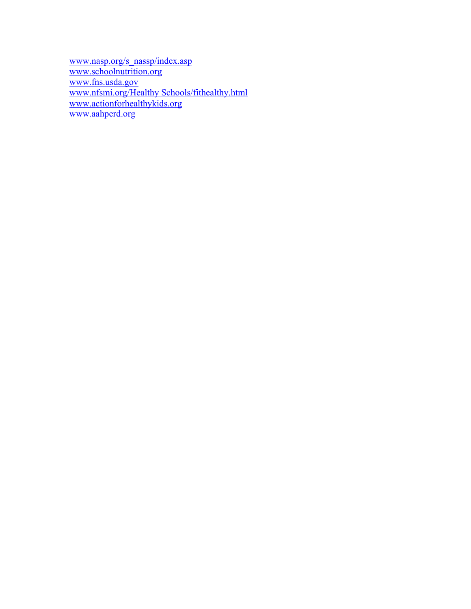www.nasp.org/s\_nassp/index.asp www.schoolnutrition.org www.fns.usda.gov www.nfsmi.org/Healthy Schools/fithealthy.html www.actionforhealthykids.org www.aahperd.org